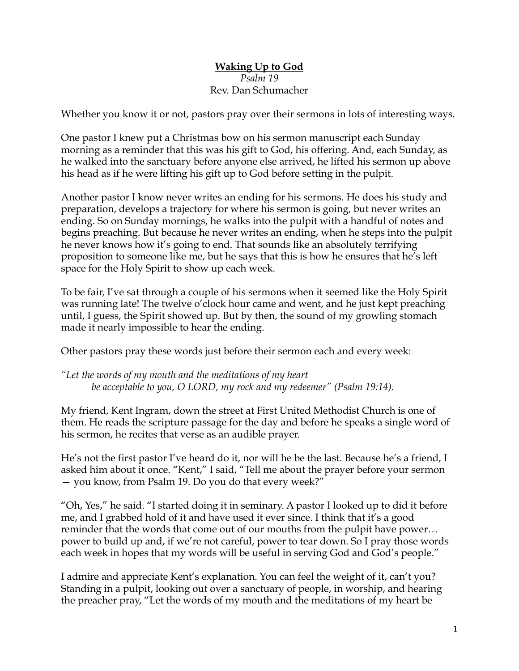## **Waking Up to God** *Psalm 19* Rev. Dan Schumacher

Whether you know it or not, pastors pray over their sermons in lots of interesting ways.

One pastor I knew put a Christmas bow on his sermon manuscript each Sunday morning as a reminder that this was his gift to God, his offering. And, each Sunday, as he walked into the sanctuary before anyone else arrived, he lifted his sermon up above his head as if he were lifting his gift up to God before setting in the pulpit.

Another pastor I know never writes an ending for his sermons. He does his study and preparation, develops a trajectory for where his sermon is going, but never writes an ending. So on Sunday mornings, he walks into the pulpit with a handful of notes and begins preaching. But because he never writes an ending, when he steps into the pulpit he never knows how it's going to end. That sounds like an absolutely terrifying proposition to someone like me, but he says that this is how he ensures that he's left space for the Holy Spirit to show up each week.

To be fair, I've sat through a couple of his sermons when it seemed like the Holy Spirit was running late! The twelve o'clock hour came and went, and he just kept preaching until, I guess, the Spirit showed up. But by then, the sound of my growling stomach made it nearly impossible to hear the ending.

Other pastors pray these words just before their sermon each and every week:

*"Let the words of my mouth and the meditations of my heart be acceptable to you, O LORD, my rock and my redeemer" (Psalm 19:14).*

My friend, Kent Ingram, down the street at First United Methodist Church is one of them. He reads the scripture passage for the day and before he speaks a single word of his sermon, he recites that verse as an audible prayer.

He's not the first pastor I've heard do it, nor will he be the last. Because he's a friend, I asked him about it once. "Kent," I said, "Tell me about the prayer before your sermon — you know, from Psalm 19. Do you do that every week?"

"Oh, Yes," he said. "I started doing it in seminary. A pastor I looked up to did it before me, and I grabbed hold of it and have used it ever since. I think that it's a good reminder that the words that come out of our mouths from the pulpit have power… power to build up and, if we're not careful, power to tear down. So I pray those words each week in hopes that my words will be useful in serving God and God's people."

I admire and appreciate Kent's explanation. You can feel the weight of it, can't you? Standing in a pulpit, looking out over a sanctuary of people, in worship, and hearing the preacher pray, "Let the words of my mouth and the meditations of my heart be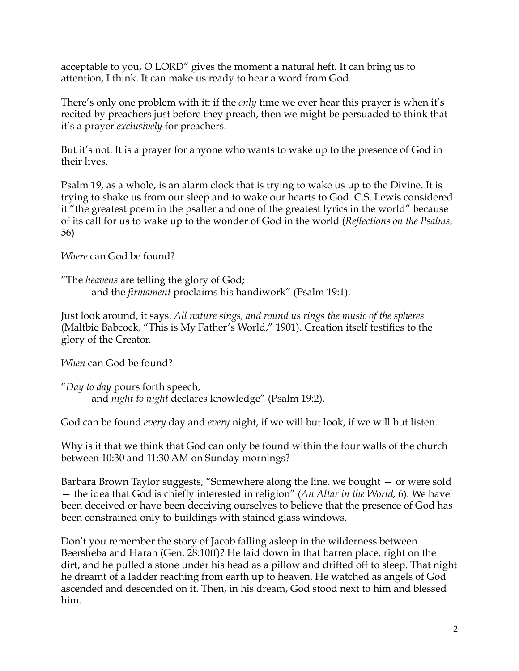acceptable to you, O LORD" gives the moment a natural heft. It can bring us to attention, I think. It can make us ready to hear a word from God.

There's only one problem with it: if the *only* time we ever hear this prayer is when it's recited by preachers just before they preach, then we might be persuaded to think that it's a prayer *exclusively* for preachers.

But it's not. It is a prayer for anyone who wants to wake up to the presence of God in their lives.

Psalm 19, as a whole, is an alarm clock that is trying to wake us up to the Divine. It is trying to shake us from our sleep and to wake our hearts to God. C.S. Lewis considered it "the greatest poem in the psalter and one of the greatest lyrics in the world" because of its call for us to wake up to the wonder of God in the world (*Reflections on the Psalms*, 56)

*Where* can God be found?

"The *heavens* are telling the glory of God; and the *firmament* proclaims his handiwork" (Psalm 19:1).

Just look around, it says. *All nature sings, and round us rings the music of the spheres*  (Maltbie Babcock, "This is My Father's World," 1901). Creation itself testifies to the glory of the Creator.

*When* can God be found?

"*Day to day* pours forth speech, and *night to night* declares knowledge" (Psalm 19:2).

God can be found *every* day and *every* night, if we will but look, if we will but listen.

Why is it that we think that God can only be found within the four walls of the church between 10:30 and 11:30 AM on Sunday mornings?

Barbara Brown Taylor suggests, "Somewhere along the line, we bought — or were sold — the idea that God is chiefly interested in religion" (*An Altar in the World,* 6). We have been deceived or have been deceiving ourselves to believe that the presence of God has been constrained only to buildings with stained glass windows.

Don't you remember the story of Jacob falling asleep in the wilderness between Beersheba and Haran (Gen. 28:10ff)? He laid down in that barren place, right on the dirt, and he pulled a stone under his head as a pillow and drifted off to sleep. That night he dreamt of a ladder reaching from earth up to heaven. He watched as angels of God ascended and descended on it. Then, in his dream, God stood next to him and blessed him.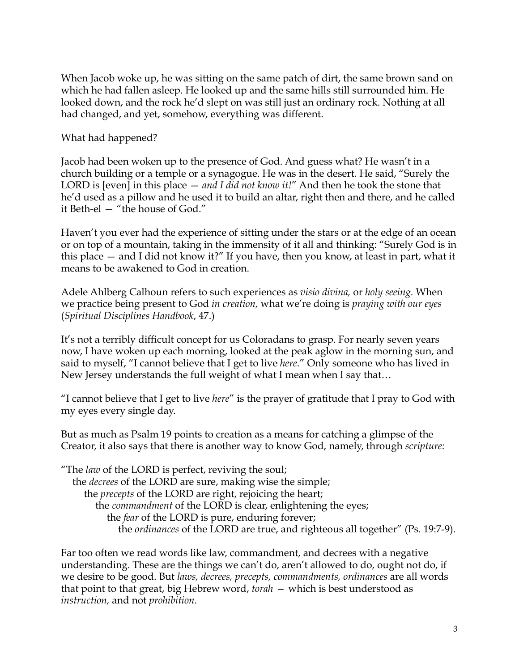When Jacob woke up, he was sitting on the same patch of dirt, the same brown sand on which he had fallen asleep. He looked up and the same hills still surrounded him. He looked down, and the rock he'd slept on was still just an ordinary rock. Nothing at all had changed, and yet, somehow, everything was different.

What had happened?

Jacob had been woken up to the presence of God. And guess what? He wasn't in a church building or a temple or a synagogue. He was in the desert. He said, "Surely the LORD is [even] in this place — *and I did not know it!*" And then he took the stone that he'd used as a pillow and he used it to build an altar, right then and there, and he called it Beth-el — "the house of God."

Haven't you ever had the experience of sitting under the stars or at the edge of an ocean or on top of a mountain, taking in the immensity of it all and thinking: "Surely God is in this place — and I did not know it?" If you have, then you know, at least in part, what it means to be awakened to God in creation.

Adele Ahlberg Calhoun refers to such experiences as *visio divina,* or *holy seeing.* When we practice being present to God *in creation,* what we're doing is *praying with our eyes* (*Spiritual Disciplines Handbook*, 47.)

It's not a terribly difficult concept for us Coloradans to grasp. For nearly seven years now, I have woken up each morning, looked at the peak aglow in the morning sun, and said to myself, "I cannot believe that I get to live *here*." Only someone who has lived in New Jersey understands the full weight of what I mean when I say that…

"I cannot believe that I get to live *here*" is the prayer of gratitude that I pray to God with my eyes every single day.

But as much as Psalm 19 points to creation as a means for catching a glimpse of the Creator, it also says that there is another way to know God, namely, through *scripture:*

"The *law* of the LORD is perfect, reviving the soul; the *decrees* of the LORD are sure, making wise the simple; the *precepts* of the LORD are right, rejoicing the heart; the *commandment* of the LORD is clear, enlightening the eyes; the *fear* of the LORD is pure, enduring forever; the *ordinances* of the LORD are true, and righteous all together" (Ps. 19:7-9).

Far too often we read words like law, commandment, and decrees with a negative understanding. These are the things we can't do, aren't allowed to do, ought not do, if we desire to be good. But *laws, decrees, precepts, commandments, ordinances* are all words that point to that great, big Hebrew word, *torah —* which is best understood as *instruction,* and not *prohibition*.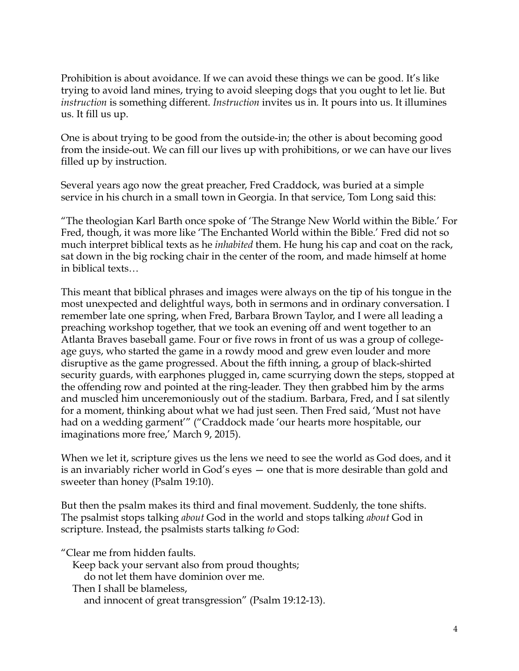Prohibition is about avoidance. If we can avoid these things we can be good. It's like trying to avoid land mines, trying to avoid sleeping dogs that you ought to let lie. But *instruction* is something different. *Instruction* invites us in*.* It pours into us. It illumines us. It fill us up.

One is about trying to be good from the outside-in; the other is about becoming good from the inside-out. We can fill our lives up with prohibitions, or we can have our lives filled up by instruction.

Several years ago now the great preacher, Fred Craddock, was buried at a simple service in his church in a small town in Georgia. In that service, Tom Long said this:

"The theologian Karl Barth once spoke of 'The Strange New World within the Bible.' For Fred, though, it was more like 'The Enchanted World within the Bible.' Fred did not so much interpret biblical texts as he *inhabited* them. He hung his cap and coat on the rack, sat down in the big rocking chair in the center of the room, and made himself at home in biblical texts…

This meant that biblical phrases and images were always on the tip of his tongue in the most unexpected and delightful ways, both in sermons and in ordinary conversation. I remember late one spring, when Fred, Barbara Brown Taylor, and I were all leading a preaching workshop together, that we took an evening off and went together to an Atlanta Braves baseball game. Four or five rows in front of us was a group of collegeage guys, who started the game in a rowdy mood and grew even louder and more disruptive as the game progressed. About the fifth inning, a group of black-shirted security guards, with earphones plugged in, came scurrying down the steps, stopped at the offending row and pointed at the ring-leader. They then grabbed him by the arms and muscled him unceremoniously out of the stadium. Barbara, Fred, and I sat silently for a moment, thinking about what we had just seen. Then Fred said, 'Must not have had on a wedding garment'" ("Craddock made 'our hearts more hospitable, our imaginations more free,' March 9, 2015).

When we let it, scripture gives us the lens we need to see the world as God does, and it is an invariably richer world in God's eyes — one that is more desirable than gold and sweeter than honey (Psalm 19:10).

But then the psalm makes its third and final movement. Suddenly, the tone shifts. The psalmist stops talking *about* God in the world and stops talking *about* God in scripture. Instead, the psalmists starts talking *to* God:

"Clear me from hidden faults.

Keep back your servant also from proud thoughts;

do not let them have dominion over me.

Then I shall be blameless,

and innocent of great transgression" (Psalm 19:12-13).